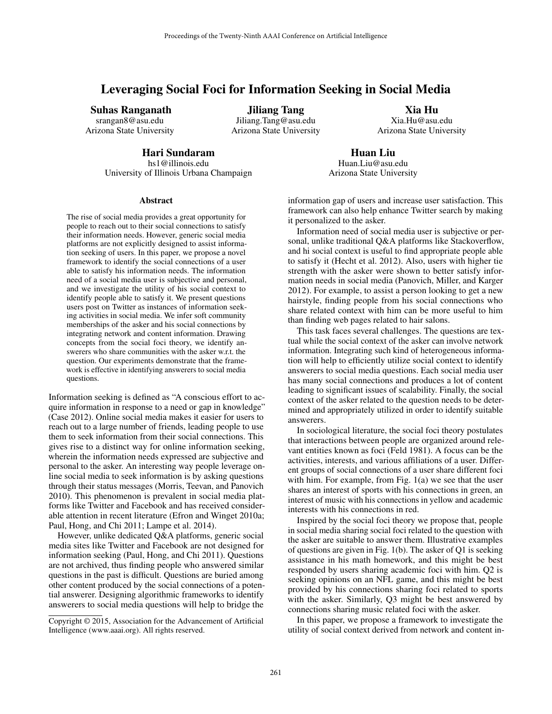# Leveraging Social Foci for Information Seeking in Social Media

Suhas Ranganath

srangan8@asu.edu Arizona State University

Jiliang Tang Jiliang.Tang@asu.edu Arizona State University

Xia Hu Xia.Hu@asu.edu Arizona State University

Hari Sundaram

hs1@illinois.edu University of Illinois Urbana Champaign

Huan Liu Huan.Liu@asu.edu Arizona State University

#### Abstract

The rise of social media provides a great opportunity for people to reach out to their social connections to satisfy their information needs. However, generic social media platforms are not explicitly designed to assist information seeking of users. In this paper, we propose a novel framework to identify the social connections of a user able to satisfy his information needs. The information need of a social media user is subjective and personal, and we investigate the utility of his social context to identify people able to satisfy it. We present questions users post on Twitter as instances of information seeking activities in social media. We infer soft community memberships of the asker and his social connections by integrating network and content information. Drawing concepts from the social foci theory, we identify answerers who share communities with the asker w.r.t. the question. Our experiments demonstrate that the framework is effective in identifying answerers to social media questions.

Information seeking is defined as "A conscious effort to acquire information in response to a need or gap in knowledge" (Case 2012). Online social media makes it easier for users to reach out to a large number of friends, leading people to use them to seek information from their social connections. This gives rise to a distinct way for online information seeking, wherein the information needs expressed are subjective and personal to the asker. An interesting way people leverage online social media to seek information is by asking questions through their status messages (Morris, Teevan, and Panovich 2010). This phenomenon is prevalent in social media platforms like Twitter and Facebook and has received considerable attention in recent literature (Efron and Winget 2010a; Paul, Hong, and Chi 2011; Lampe et al. 2014).

However, unlike dedicated Q&A platforms, generic social media sites like Twitter and Facebook are not designed for information seeking (Paul, Hong, and Chi 2011). Questions are not archived, thus finding people who answered similar questions in the past is difficult. Questions are buried among other content produced by the social connections of a potential answerer. Designing algorithmic frameworks to identify answerers to social media questions will help to bridge the

Copyright © 2015, Association for the Advancement of Artificial Intelligence (www.aaai.org). All rights reserved.

information gap of users and increase user satisfaction. This framework can also help enhance Twitter search by making it personalized to the asker.

Information need of social media user is subjective or personal, unlike traditional Q&A platforms like Stackoverflow, and hi social context is useful to find appropriate people able to satisfy it (Hecht et al. 2012). Also, users with higher tie strength with the asker were shown to better satisfy information needs in social media (Panovich, Miller, and Karger 2012). For example, to assist a person looking to get a new hairstyle, finding people from his social connections who share related context with him can be more useful to him than finding web pages related to hair salons.

This task faces several challenges. The questions are textual while the social context of the asker can involve network information. Integrating such kind of heterogeneous information will help to efficiently utilize social context to identify answerers to social media questions. Each social media user has many social connections and produces a lot of content leading to significant issues of scalability. Finally, the social context of the asker related to the question needs to be determined and appropriately utilized in order to identify suitable answerers.

In sociological literature, the social foci theory postulates that interactions between people are organized around relevant entities known as foci (Feld 1981). A focus can be the activities, interests, and various affiliations of a user. Different groups of social connections of a user share different foci with him. For example, from Fig. 1(a) we see that the user shares an interest of sports with his connections in green, an interest of music with his connections in yellow and academic interests with his connections in red.

Inspired by the social foci theory we propose that, people in social media sharing social foci related to the question with the asker are suitable to answer them. Illustrative examples of questions are given in Fig. 1(b). The asker of Q1 is seeking assistance in his math homework, and this might be best responded by users sharing academic foci with him. Q2 is seeking opinions on an NFL game, and this might be best provided by his connections sharing foci related to sports with the asker. Similarly, Q3 might be best answered by connections sharing music related foci with the asker.

In this paper, we propose a framework to investigate the utility of social context derived from network and content in-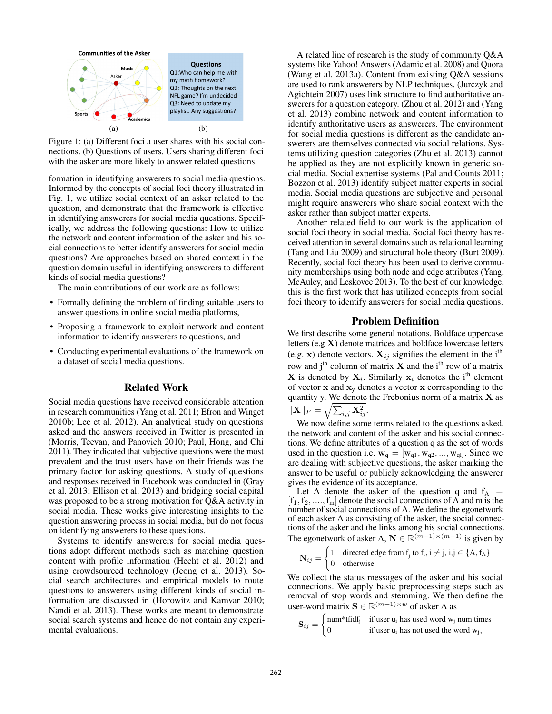

Figure 1: (a) Different foci a user shares with his social connections. (b) Questions of users. Users sharing different foci with the asker are more likely to answer related questions.

formation in identifying answerers to social media questions. Informed by the concepts of social foci theory illustrated in Fig. 1, we utilize social context of an asker related to the question, and demonstrate that the framework is effective in identifying answerers for social media questions. Specifically, we address the following questions: How to utilize the network and content information of the asker and his social connections to better identify answerers for social media questions? Are approaches based on shared context in the question domain useful in identifying answerers to different kinds of social media questions?

The main contributions of our work are as follows:

- Formally defining the problem of finding suitable users to answer questions in online social media platforms,
- Proposing a framework to exploit network and content information to identify answerers to questions, and
- Conducting experimental evaluations of the framework on a dataset of social media questions.

#### Related Work

Social media questions have received considerable attention in research communities (Yang et al. 2011; Efron and Winget 2010b; Lee et al. 2012). An analytical study on questions asked and the answers received in Twitter is presented in (Morris, Teevan, and Panovich 2010; Paul, Hong, and Chi 2011). They indicated that subjective questions were the most prevalent and the trust users have on their friends was the primary factor for asking questions. A study of questions and responses received in Facebook was conducted in (Gray et al. 2013; Ellison et al. 2013) and bridging social capital was proposed to be a strong motivation for Q&A activity in social media. These works give interesting insights to the question answering process in social media, but do not focus on identifying answerers to these questions.

Systems to identify answerers for social media questions adopt different methods such as matching question content with profile information (Hecht et al. 2012) and using crowdsourced technology (Jeong et al. 2013). Social search architectures and empirical models to route questions to answerers using different kinds of social information are discussed in (Horowitz and Kamvar 2010; Nandi et al. 2013). These works are meant to demonstrate social search systems and hence do not contain any experimental evaluations.

A related line of research is the study of community Q&A systems like Yahoo! Answers (Adamic et al. 2008) and Quora (Wang et al. 2013a). Content from existing Q&A sessions are used to rank answerers by NLP techniques. (Jurczyk and Agichtein 2007) uses link structure to find authoritative answerers for a question category. (Zhou et al. 2012) and (Yang et al. 2013) combine network and content information to identify authoritative users as answerers. The environment for social media questions is different as the candidate answerers are themselves connected via social relations. Systems utilizing question categories (Zhu et al. 2013) cannot be applied as they are not explicitly known in generic social media. Social expertise systems (Pal and Counts 2011; Bozzon et al. 2013) identify subject matter experts in social media. Social media questions are subjective and personal might require answerers who share social context with the asker rather than subject matter experts.

Another related field to our work is the application of social foci theory in social media. Social foci theory has received attention in several domains such as relational learning (Tang and Liu 2009) and structural hole theory (Burt 2009). Recently, social foci theory has been used to derive community memberships using both node and edge attributes (Yang, McAuley, and Leskovec 2013). To the best of our knowledge, this is the first work that has utilized concepts from social foci theory to identify answerers for social media questions.

## Problem Definition

We first describe some general notations. Boldface uppercase letters (e.g X) denote matrices and boldface lowercase letters (e.g. x) denote vectors.  $X_{ij}$  signifies the element in the i<sup>th</sup> row and j<sup>th</sup> column of matrix **X** and the i<sup>th</sup> row of a matrix **X** is denoted by  $X_i$ . Similarly  $x_i$  denotes the i<sup>th</sup> element of vector  $x$  and  $x_y$  denotes a vector  $x$  corresponding to the quantity y. We denote the Frebonius norm of a matrix  $X$  as  $||\mathbf{X}||_F = \sqrt{\sum_{i,j} \mathbf{X}_{ij}^2}.$ 

We now define some terms related to the questions asked, the network and content of the asker and his social connections. We define attributes of a question q as the set of words used in the question i.e.  $\mathbf{w}_q = [\mathbf{w}_{q1}, \mathbf{w}_{q2}, ..., \mathbf{w}_{q1}]$ . Since we are dealing with subjective questions, the asker marking the answer to be useful or publicly acknowledging the answerer gives the evidence of its acceptance.

Let A denote the asker of the question q and  $f_A$  =  $[f_1, f_2, ..., f_m]$  denote the social connections of A and m is the number of social connections of A. We define the egonetwork of each asker A as consisting of the asker, the social connections of the asker and the links among his social connections. The egonetwork of asker A,  $\mathbf{N} \in \mathbb{R}^{(m+1)\times(m+1)}$  is given by

$$
\mathbf{N}_{ij} = \begin{cases} 1 & \text{directed edge from } f_j \text{ to } f_i, i \neq j, i, j \in \{A, f_A\} \\ 0 & \text{otherwise} \end{cases}
$$

We collect the status messages of the asker and his social connections. We apply basic preprocessing steps such as removal of stop words and stemming. We then define the user-word matrix  $\mathbf{S} \in \mathbb{R}^{(m+1)\times w}$  of asker A as

 ${\bf S}_{ij} =$  $\int$  num\*tfidf<sub>j</sub> if user u<sub>i</sub> has used word w<sub>j</sub> num times 0 if user  $u_i$  has not used the word  $w_j$ ,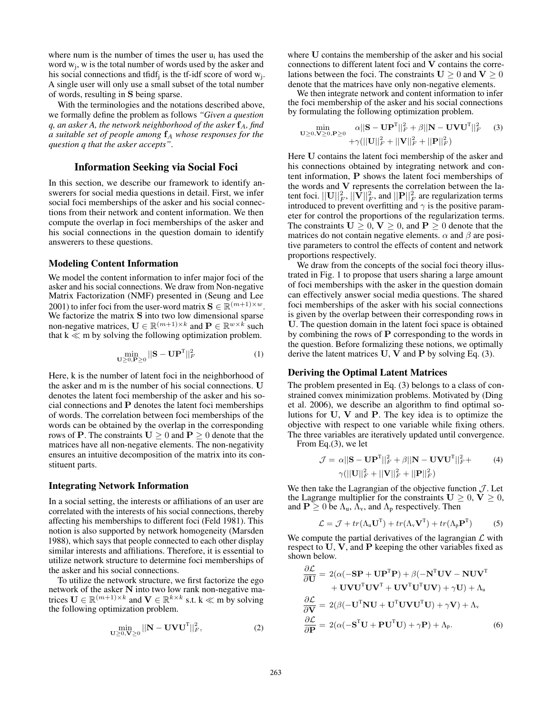where num is the number of times the user  $u_i$  has used the word  $w_j$ , w is the total number of words used by the asker and his social connections and tfidf<sub>j</sub> is the tf-idf score of word  $w_j$ . A single user will only use a small subset of the total number of words, resulting in S being sparse.

With the terminologies and the notations described above, we formally define the problem as follows *"Given a question q, an asker A, the network neighborhood of the asker*  $f_A$ *, find a suitable set of people among*  $f_A$  *whose responses for the question q that the asker accepts"*.

## Information Seeking via Social Foci

In this section, we describe our framework to identify answerers for social media questions in detail. First, we infer social foci memberships of the asker and his social connections from their network and content information. We then compute the overlap in foci memberships of the asker and his social connections in the question domain to identify answerers to these questions.

#### Modeling Content Information

We model the content information to infer major foci of the asker and his social connections. We draw from Non-negative Matrix Factorization (NMF) presented in (Seung and Lee 2001) to infer foci from the user-word matrix  $\mathbf{S} \in \mathbb{R}^{(m+1)\times w}$ . We factorize the matrix S into two low dimensional sparse non-negative matrices,  $\mathbf{U} \in \mathbb{R}^{(m+1) \times k}$  and  $\mathbf{P} \in \mathbb{R}^{w \times k}$  such that  $k \ll m$  by solving the following optimization problem.

$$
\min_{\mathbf{U}\geq 0,\mathbf{P}\geq 0} ||\mathbf{S} - \mathbf{U}\mathbf{P}^{\mathrm{T}}||_F^2 \tag{1}
$$

Here, k is the number of latent foci in the neighborhood of the asker and m is the number of his social connections. U denotes the latent foci membership of the asker and his social connections and P denotes the latent foci memberships of words. The correlation between foci memberships of the words can be obtained by the overlap in the corresponding rows of **P**. The constraints  $U > 0$  and  $P > 0$  denote that the matrices have all non-negative elements. The non-negativity ensures an intuitive decomposition of the matrix into its constituent parts.

## Integrating Network Information

In a social setting, the interests or affiliations of an user are correlated with the interests of his social connections, thereby affecting his memberships to different foci (Feld 1981). This notion is also supported by network homogeneity (Marsden 1988), which says that people connected to each other display similar interests and affiliations. Therefore, it is essential to utilize network structure to determine foci memberships of the asker and his social connections.

To utilize the network structure, we first factorize the ego network of the asker N into two low rank non-negative matrices  $\mathbf{U} \in \mathbb{R}^{(m+1)\times k}$  and  $\mathbf{V} \in \mathbb{R}^{k\times k}$  s.t.  $k \ll m$  by solving the following optimization problem.

$$
\min_{\mathbf{U} \ge 0, \mathbf{V} \ge 0} ||\mathbf{N} - \mathbf{U} \mathbf{V} \mathbf{U}^{\mathrm{T}}||_F^2, \tag{2}
$$

where U contains the membership of the asker and his social connections to different latent foci and V contains the correlations between the foci. The constraints  $U \ge 0$  and  $V \ge 0$ denote that the matrices have only non-negative elements.

We then integrate network and content information to infer the foci membership of the asker and his social connections by formulating the following optimization problem.

$$
\min_{\mathbf{U}\geq0,\mathbf{V}\geq0,\mathbf{P}\geq0} \frac{\alpha||\mathbf{S}-\mathbf{U}\mathbf{P}^{\mathrm{T}}||_{F}^{2} + \beta||\mathbf{N}-\mathbf{U}\mathbf{V}\mathbf{U}^{\mathrm{T}}||_{F}^{2}}{+\gamma(||\mathbf{U}||_{F}^{2}+||\mathbf{V}||_{F}^{2}+||\mathbf{P}||_{F}^{2})}
$$
(3)

Here U contains the latent foci membership of the asker and his connections obtained by integrating network and content information, P shows the latent foci memberships of the words and V represents the correlation between the latent foci.  $||\mathbf{U}||_F^2, ||\mathbf{V}||_F^2,$  and  $||\mathbf{P}||_F^2$  are regularization terms introduced to prevent overfitting and  $\gamma$  is the positive parameter for control the proportions of the regularization terms. The constraints  $U > 0$ ,  $V > 0$ , and  $P > 0$  denote that the matrices do not contain negative elements.  $\alpha$  and  $\beta$  are positive parameters to control the effects of content and network proportions respectively.

We draw from the concepts of the social foci theory illustrated in Fig. 1 to propose that users sharing a large amount of foci memberships with the asker in the question domain can effectively answer social media questions. The shared foci memberships of the asker with his social connections is given by the overlap between their corresponding rows in U. The question domain in the latent foci space is obtained by combining the rows of  $P$  corresponding to the words in the question. Before formalizing these notions, we optimally derive the latent matrices  $U, V$  and  $P$  by solving Eq. (3).

## Deriving the Optimal Latent Matrices

The problem presented in Eq. (3) belongs to a class of constrained convex minimization problems. Motivated by (Ding et al. 2006), we describe an algorithm to find optimal solutions for U, V and P. The key idea is to optimize the objective with respect to one variable while fixing others. The three variables are iteratively updated until convergence.

From Eq.(3), we let

$$
\mathcal{J} = \alpha ||\mathbf{S} - \mathbf{U} \mathbf{P}^{T}||_{F}^{2} + \beta ||\mathbf{N} - \mathbf{U} \mathbf{V} \mathbf{U}^{T}||_{F}^{2} +
$$
  
 
$$
\gamma (||\mathbf{U}||_{F}^{2} + ||\mathbf{V}||_{F}^{2} + ||\mathbf{P}||_{F}^{2})
$$
 (4)

We then take the Lagrangian of the objective function  $\mathcal{J}$ . Let the Lagrange multiplier for the constraints  $U \geq 0$ ,  $V \geq 0$ , and  $P \ge 0$  be  $\Lambda_u$ ,  $\Lambda_v$ , and  $\Lambda_p$  respectively. Then

$$
\mathcal{L} = \mathcal{J} + tr(\Lambda_{\mathbf{u}} \mathbf{U}^{\mathrm{T}}) + tr(\Lambda_{\mathbf{v}} \mathbf{V}^{\mathrm{T}}) + tr(\Lambda_{\mathbf{p}} \mathbf{P}^{\mathrm{T}})
$$
 (5)

We compute the partial derivatives of the lagrangian  $\mathcal L$  with respect to U, V, and P keeping the other variables fixed as shown below.

$$
\frac{\partial \mathcal{L}}{\partial \mathbf{U}} = 2(\alpha(-\mathbf{SP} + \mathbf{UP}^{\mathrm{T}}\mathbf{P}) + \beta(-\mathbf{N}^{\mathrm{T}}\mathbf{UV} - \mathbf{NUV}^{\mathrm{T}} + \mathbf{UV}\mathbf{UV}^{\mathrm{T}}\mathbf{UV}^{\mathrm{T}} + \mathbf{UV}\mathbf{V}^{\mathrm{T}}\mathbf{UV}^{\mathrm{T}}\mathbf{UV}) + \gamma \mathbf{U}) + \Lambda_{\mathrm{u}}
$$

$$
\frac{\partial \mathcal{L}}{\partial \mathbf{V}} = 2(\beta(-\mathbf{U}^{\mathrm{T}}\mathbf{NU} + \mathbf{U}^{\mathrm{T}}\mathbf{UV}\mathbf{U}^{\mathrm{T}}\mathbf{U}) + \gamma \mathbf{V}) + \Lambda_{\mathrm{v}}
$$

$$
\frac{\partial \mathcal{L}}{\partial \mathbf{P}} = 2(\alpha(-\mathbf{S}^{\mathrm{T}}\mathbf{U} + \mathbf{PU}^{\mathrm{T}}\mathbf{U}) + \gamma \mathbf{P}) + \Lambda_{\mathrm{p}}.
$$
(6)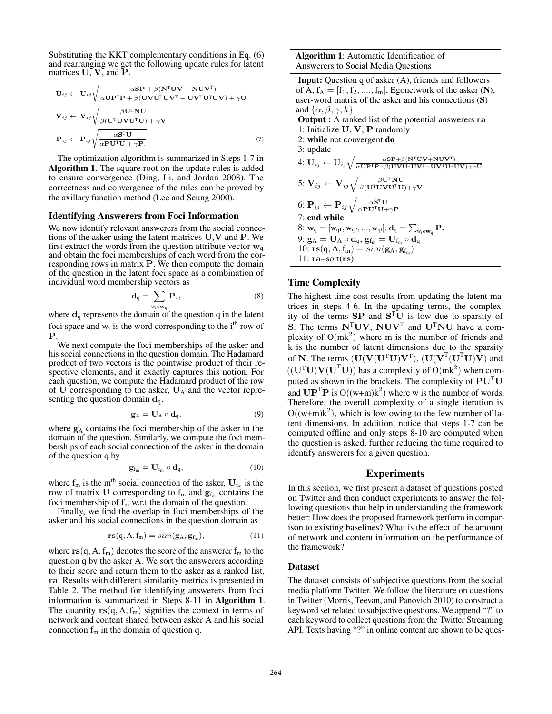Substituting the KKT complementary conditions in Eq. (6) and rearranging we get the following update rules for latent matrices U, V, and P.

$$
U_{ij} \leftarrow U_{ij} \sqrt{\frac{\alpha SP + \beta (N^{T}UV + NUV^{T})}{\alpha UP^{T}P + \beta (UVU^{T}UV^{T} + UV^{T}U^{T}UV) + \gamma U}}
$$

$$
V_{ij} \leftarrow V_{ij} \sqrt{\frac{\beta U^{T}NU}{\beta (U^{T}UVU^{T}U) + \gamma V}}
$$

$$
P_{ij} \leftarrow P_{ij} \sqrt{\frac{\alpha S^{T}U}{\alpha PU^{T}U + \gamma P}}.
$$
(7)

The optimization algorithm is summarized in Steps 1-7 in Algorithm 1. The square root on the update rules is added to ensure convergence (Ding, Li, and Jordan 2008). The correctness and convergence of the rules can be proved by the axillary function method (Lee and Seung 2000).

#### Identifying Answerers from Foci Information

We now identify relevant answerers from the social connections of the asker using the latent matrices U,V and P. We first extract the words from the question attribute vector  $w_q$ and obtain the foci memberships of each word from the corresponding rows in matrix  $P$ . We then compute the domain of the question in the latent foci space as a combination of individual word membership vectors as

$$
\mathbf{d}_{q} = \sum_{w_i \in \mathbf{w}_q} \mathbf{P}_i,\tag{8}
$$

where  $\mathbf{d}_q$  represents the domain of the question q in the latent foci space and  $w_i$  is the word corresponding to the i<sup>th</sup> row of P.

We next compute the foci memberships of the asker and his social connections in the question domain. The Hadamard product of two vectors is the pointwise product of their respective elements, and it exactly captures this notion. For each question, we compute the Hadamard product of the row of  $U$  corresponding to the asker,  $U_A$  and the vector representing the question domain  $\mathbf{d}_q$ .

$$
\mathbf{g}_{A} = \mathbf{U}_{A} \circ \mathbf{d}_{q},\tag{9}
$$

where  $g_A$  contains the foci membership of the asker in the domain of the question. Similarly, we compute the foci memberships of each social connection of the asker in the domain of the question q by

$$
\mathbf{g}_{f_m} = \mathbf{U}_{f_m} \circ \mathbf{d}_q, \tag{10}
$$

where  $f_m$  is the m<sup>th</sup> social connection of the asker,  $U_{f_m}$  is the row of matrix U corresponding to  $f_m$  and  $g_{f_m}$  contains the foci membership of  $f_m$  w.r.t the domain of the question.

Finally, we find the overlap in foci memberships of the asker and his social connections in the question domain as

$$
rs(q, A, f_m) = sim(g_A, g_{f_m}), \qquad (11)
$$

where  $rs(q, A, f<sub>m</sub>)$  denotes the score of the answerer  $f<sub>m</sub>$  to the question q by the asker A. We sort the answerers according to their score and return them to the asker as a ranked list, ra. Results with different similarity metrics is presented in Table 2. The method for identifying answerers from foci information is summarized in Steps 8-11 in Algorithm 1. The quantity  $rs(q, A, f<sub>m</sub>)$  signifies the context in terms of network and content shared between asker A and his social connection  $f_m$  in the domain of question q.

Input: Question q of asker (A), friends and followers of A,  $f_A = [f_1, f_2, \dots, f_m]$ , Egonetwork of the asker (N), user-word matrix of the asker and his connections (S) and  $\{\alpha, \beta, \gamma, k\}$ Output : A ranked list of the potential answerers ra 1: Initialize U, V, P randomly 2: while not convergent do 3: update  $4{:}\ \mathbf{U}_{ij} \leftarrow \mathbf{U}_{ij}\sqrt{\frac{\alpha\mathbf{S}\mathbf{P} + \beta(\mathbf{N}^{\text{T}}\mathbf{U}\mathbf{V} + \mathbf{N}\mathbf{U}\mathbf{V}^{\text{T}})}{\alpha\mathbf{U}\mathbf{P}^{\text{T}}\mathbf{P} + \beta(\mathbf{U}\mathbf{V}\mathbf{U}^{\text{T}}\mathbf{U}\mathbf{V}^{\text{T}} + \mathbf{U}\mathbf{V}^{\text{T}}\mathbf{U}\mathbf{V}) + \gamma\mathbf{U}}}$  $\mathbf{5: V}_{ij} \leftarrow \mathbf{V}_{ij}\sqrt{\frac{\beta \mathbf{U}^{\text{T}}\mathbf{N}\mathbf{U}}{\beta (\mathbf{U}^{\text{T}}\mathbf{U}\mathbf{V}\mathbf{U}^{\text{T}}\mathbf{U})+\gamma \mathbf{V}}}$ 6:  $\mathrm{P}_{ij} \leftarrow \mathrm{P}_{ij} \sqrt{\frac{\alpha \mathrm{S}^\mathrm{T} \mathrm{U}}{\alpha \mathrm{PU}^\mathrm{T} \mathrm{U} + \gamma \mathrm{P}}}$ 7: end while  $8: \mathbf{w}_{\text{q}} = [\mathrm{w}_{\text{q}1}, \mathrm{w}_{\text{q}2}, ..., \mathrm{w}_{\text{q}l}], \mathbf{d}_{\text{q}} = \sum_{\mathrm{w}_{\text{i}} \in \mathbf{w}_{\text{q}}} \mathbf{P}_{i}$  $9: \mathbf{g}_\mathrm{A} = \mathbf{U}_\mathrm{A} \circ \mathbf{d}_\mathrm{q}, \, \mathbf{g}_{\mathrm{f}_\mathrm{m}} = \mathbf{U}_{\mathrm{f}_\mathrm{m}} \circ \mathbf{d}_\mathrm{q}$ 10:  $\mathbf{rs}(q, A, f_m) = sim(\mathbf{g}_A, \mathbf{g}_{f_m})$ 11:  $ra = sort(rs)$ 

### Time Complexity

The highest time cost results from updating the latent matrices in steps 4-6. In the updating terms, the complexity of the terms  $SP$  and  $S^T\overline{U}$  is low due to sparsity of S. The terms  $N^{\text{T}}UV$ ,  $NUV^{\text{T}}$  and  $U^{\text{T}}NU$  have a complexity of  $O(mk^2)$  where m is the number of friends and k is the number of latent dimensions due to the sparsity of N. The terms  $(U(V(U<sup>T</sup>U)V<sup>T</sup>), (U(V<sup>T</sup>(U<sup>T</sup>U)V)$  and  $((\mathbf{U}^{\mathsf{T}}\mathbf{U})\mathbf{V}(\mathbf{U}^{\mathsf{T}}\mathbf{U}))$  has a complexity of  $\mathbf{O}(mk^2)$  when computed as shown in the brackets. The complexity of  $PU<sup>T</sup>U$ and  $\mathbf{UP}^{\mathrm{T}}\mathbf{P}$  is  $O((w+m)k^2)$  where w is the number of words. Therefore, the overall complexity of a single iteration is  $O((w+m)k^2)$ , which is low owing to the few number of latent dimensions. In addition, notice that steps 1-7 can be computed offline and only steps 8-10 are computed when the question is asked, further reducing the time required to identify answerers for a given question.

#### Experiments

In this section, we first present a dataset of questions posted on Twitter and then conduct experiments to answer the following questions that help in understanding the framework better: How does the proposed framework perform in comparison to existing baselines? What is the effect of the amount of network and content information on the performance of the framework?

#### Dataset

The dataset consists of subjective questions from the social media platform Twitter. We follow the literature on questions in Twitter (Morris, Teevan, and Panovich 2010) to construct a keyword set related to subjective questions. We append "?" to each keyword to collect questions from the Twitter Streaming API. Texts having "?" in online content are shown to be ques-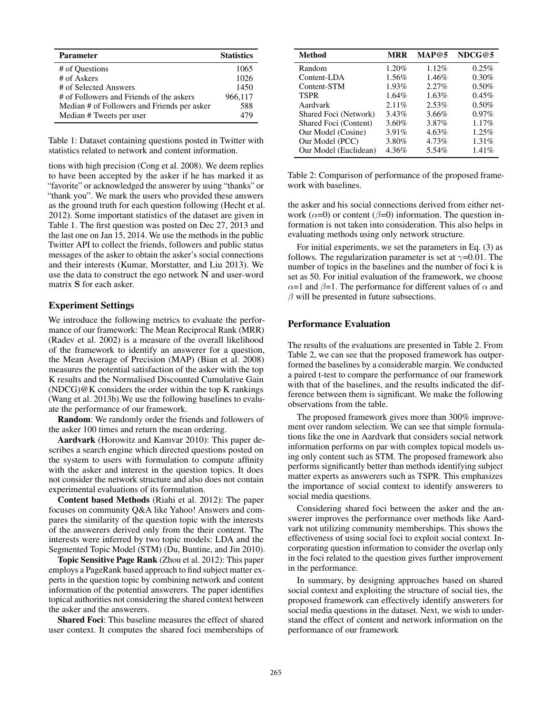| <b>Parameter</b>                            | <b>Statistics</b> |
|---------------------------------------------|-------------------|
| # of Questions                              | 1065              |
| # of Askers                                 | 1026              |
| # of Selected Answers                       | 1450              |
| # of Followers and Friends of the askers    | 966,117           |
| Median # of Followers and Friends per asker | 588               |
| Median # Tweets per user                    | 479               |

Table 1: Dataset containing questions posted in Twitter with statistics related to network and content information.

tions with high precision (Cong et al. 2008). We deem replies to have been accepted by the asker if he has marked it as "favorite" or acknowledged the answerer by using "thanks" or "thank you". We mark the users who provided these answers as the ground truth for each question following (Hecht et al. 2012). Some important statistics of the dataset are given in Table 1. The first question was posted on Dec 27, 2013 and the last one on Jan 15, 2014. We use the methods in the public Twitter API to collect the friends, followers and public status messages of the asker to obtain the asker's social connections and their interests (Kumar, Morstatter, and Liu 2013). We use the data to construct the ego network N and user-word matrix S for each asker.

## Experiment Settings

We introduce the following metrics to evaluate the performance of our framework: The Mean Reciprocal Rank (MRR) (Radev et al. 2002) is a measure of the overall likelihood of the framework to identify an answerer for a question, the Mean Average of Precision (MAP) (Bian et al. 2008) measures the potential satisfaction of the asker with the top K results and the Normalised Discounted Cumulative Gain  $(NDCG)@K$  considers the order within the top K rankings (Wang et al. 2013b).We use the following baselines to evaluate the performance of our framework.

Random: We randomly order the friends and followers of the asker 100 times and return the mean ordering.

Aardvark (Horowitz and Kamvar 2010): This paper describes a search engine which directed questions posted on the system to users with formulation to compute affinity with the asker and interest in the question topics. It does not consider the network structure and also does not contain experimental evaluations of its formulation.

Content based Methods (Riahi et al. 2012): The paper focuses on community Q&A like Yahoo! Answers and compares the similarity of the question topic with the interests of the answerers derived only from the their content. The interests were inferred by two topic models: LDA and the Segmented Topic Model (STM) (Du, Buntine, and Jin 2010).

Topic Sensitive Page Rank (Zhou et al. 2012): This paper employs a PageRank based approach to find subject matter experts in the question topic by combining network and content information of the potential answerers. The paper identifies topical authorities not considering the shared context between the asker and the answerers.

Shared Foci: This baseline measures the effect of shared user context. It computes the shared foci memberships of

| <b>Method</b>         | <b>MRR</b> | MAP@5    | NDCG@5   |
|-----------------------|------------|----------|----------|
| Random                | 1.20%      | 1.12%    | 0.25%    |
| Content-LDA           | $1.56\%$   | 1.46%    | $0.30\%$ |
| Content-STM           | 1.93%      | 2.27%    | 0.50%    |
| <b>TSPR</b>           | 1.64%      | $1.63\%$ | 0.45%    |
| Aardvark              | $2.11\%$   | 2.53%    | 0.50%    |
| Shared Foci (Network) | 3.43%      | 3.66%    | $0.97\%$ |
| Shared Foci (Content) | 3.60%      | 3.87%    | 1.17%    |
| Our Model (Cosine)    | 3.91%      | 4.63%    | 1.25%    |
| Our Model (PCC)       | 3.80%      | 4.73%    | 1.31%    |
| Our Model (Euclidean) | 4.36%      | 5.54%    | 1.41%    |

Table 2: Comparison of performance of the proposed framework with baselines.

the asker and his social connections derived from either network ( $\alpha$ =0) or content ( $\beta$ =0) information. The question information is not taken into consideration. This also helps in evaluating methods using only network structure.

For initial experiments, we set the parameters in Eq. (3) as follows. The regularization parameter is set at  $\gamma$ =0.01. The number of topics in the baselines and the number of foci k is set as 50. For initial evaluation of the framework, we choose  $\alpha$ =1 and  $\beta$ =1. The performance for different values of  $\alpha$  and  $\beta$  will be presented in future subsections.

## Performance Evaluation

The results of the evaluations are presented in Table 2. From Table 2, we can see that the proposed framework has outperformed the baselines by a considerable margin. We conducted a paired t-test to compare the performance of our framework with that of the baselines, and the results indicated the difference between them is significant. We make the following observations from the table.

The proposed framework gives more than 300% improvement over random selection. We can see that simple formulations like the one in Aardvark that considers social network information performs on par with complex topical models using only content such as STM. The proposed framework also performs significantly better than methods identifying subject matter experts as answerers such as TSPR. This emphasizes the importance of social context to identify answerers to social media questions.

Considering shared foci between the asker and the answerer improves the performance over methods like Aardvark not utilizing community memberships. This shows the effectiveness of using social foci to exploit social context. Incorporating question information to consider the overlap only in the foci related to the question gives further improvement in the performance.

In summary, by designing approaches based on shared social context and exploiting the structure of social ties, the proposed framework can effectively identify answerers for social media questions in the dataset. Next, we wish to understand the effect of content and network information on the performance of our framework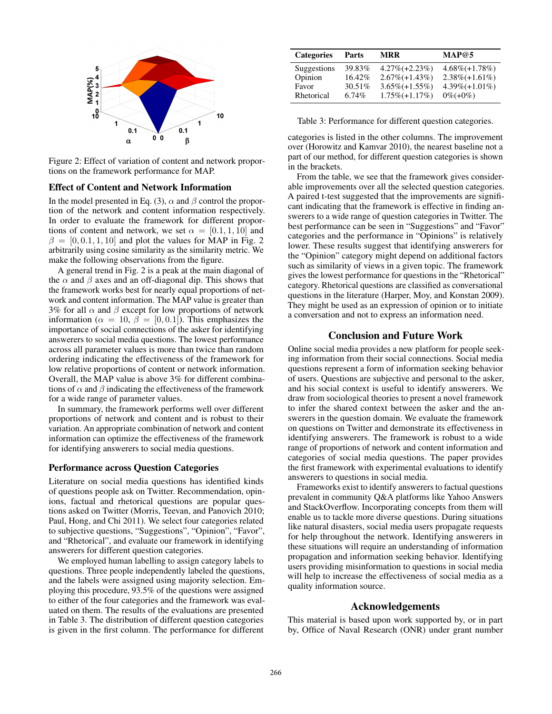

Figure 2: Effect of variation of content and network proportions on the framework performance for MAP.

## Effect of Content and Network Information

In the model presented in Eq. (3),  $\alpha$  and  $\beta$  control the proportion of the network and content information respectively. In order to evaluate the framework for different proportions of content and network, we set  $\alpha = [0.1, 1, 10]$  and  $\beta = [0, 0.1, 1, 10]$  and plot the values for MAP in Fig. 2 arbitrarily using cosine similarity as the similarity metric. We make the following observations from the figure.

A general trend in Fig. 2 is a peak at the main diagonal of the  $\alpha$  and  $\beta$  axes and an off-diagonal dip. This shows that the framework works best for nearly equal proportions of network and content information. The MAP value is greater than 3% for all  $\alpha$  and  $\beta$  except for low proportions of network information ( $\alpha = 10, \beta = [0, 0.1]$ ). This emphasizes the importance of social connections of the asker for identifying answerers to social media questions. The lowest performance across all parameter values is more than twice than random ordering indicating the effectiveness of the framework for low relative proportions of content or network information. Overall, the MAP value is above 3% for different combinations of  $\alpha$  and  $\beta$  indicating the effectiveness of the framework for a wide range of parameter values.

In summary, the framework performs well over different proportions of network and content and is robust to their variation. An appropriate combination of network and content information can optimize the effectiveness of the framework for identifying answerers to social media questions.

#### Performance across Question Categories

Literature on social media questions has identified kinds of questions people ask on Twitter. Recommendation, opinions, factual and rhetorical questions are popular questions asked on Twitter (Morris, Teevan, and Panovich 2010; Paul, Hong, and Chi 2011). We select four categories related to subjective questions, "Suggestions", "Opinion", "Favor", and "Rhetorical", and evaluate our framework in identifying answerers for different question categories.

We employed human labelling to assign category labels to questions. Three people independently labeled the questions, and the labels were assigned using majority selection. Employing this procedure, 93.5% of the questions were assigned to either of the four categories and the framework was evaluated on them. The results of the evaluations are presented in Table 3. The distribution of different question categories is given in the first column. The performance for different

| <b>Categories</b> | Parts    | <b>MRR</b>        | MAP@5              |
|-------------------|----------|-------------------|--------------------|
| Suggestions       | 39.83%   | $4.27\%(+2.23\%)$ | $4.68\% (+1.78\%)$ |
| Opinion           | 16.42%   | $2.67\%(+1.43\%)$ | $2.38\%(+1.61\%)$  |
| Favor             | 30.51%   | $3.65\%(+1.55\%)$ | $4.39\%(+1.01\%)$  |
| Rhetorical        | $6.74\%$ | $1.75\%(+1.17\%)$ | $0\%(+0\%)$        |

Table 3: Performance for different question categories.

categories is listed in the other columns. The improvement over (Horowitz and Kamvar 2010), the nearest baseline not a part of our method, for different question categories is shown in the brackets.

From the table, we see that the framework gives considerable improvements over all the selected question categories. A paired t-test suggested that the improvements are significant indicating that the framework is effective in finding answerers to a wide range of question categories in Twitter. The best performance can be seen in "Suggestions" and "Favor" categories and the performance in "Opinions" is relatively lower. These results suggest that identifying answerers for the "Opinion" category might depend on additional factors such as similarity of views in a given topic. The framework gives the lowest performance for questions in the "Rhetorical" category. Rhetorical questions are classified as conversational questions in the literature (Harper, Moy, and Konstan 2009). They might be used as an expression of opinion or to initiate a conversation and not to express an information need.

#### Conclusion and Future Work

Online social media provides a new platform for people seeking information from their social connections. Social media questions represent a form of information seeking behavior of users. Questions are subjective and personal to the asker, and his social context is useful to identify answerers. We draw from sociological theories to present a novel framework to infer the shared context between the asker and the answerers in the question domain. We evaluate the framework on questions on Twitter and demonstrate its effectiveness in identifying answerers. The framework is robust to a wide range of proportions of network and content information and categories of social media questions. The paper provides the first framework with experimental evaluations to identify answerers to questions in social media.

Frameworks exist to identify answerers to factual questions prevalent in community Q&A platforms like Yahoo Answers and StackOverflow. Incorporating concepts from them will enable us to tackle more diverse questions. During situations like natural disasters, social media users propagate requests for help throughout the network. Identifying answerers in these situations will require an understanding of information propagation and information seeking behavior. Identifying users providing misinformation to questions in social media will help to increase the effectiveness of social media as a quality information source.

## Acknowledgements

This material is based upon work supported by, or in part by, Office of Naval Research (ONR) under grant number